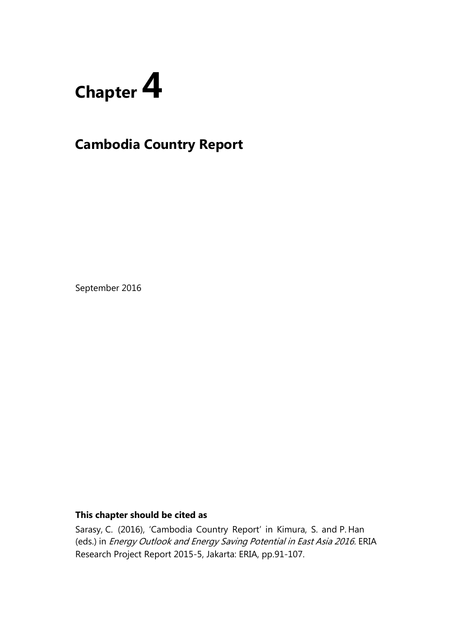

# **Cambodia Country Report**

September 2016

## **This chapter should be cited as**

Sarasy, C. (2016), 'Cambodia Country Report' in Kimura, S. and P. Han (eds.) in Energy Outlook and Energy Saving Potential in East Asia 2016. ERIA Research Project Report 2015-5, Jakarta: ERIA, pp.91-107.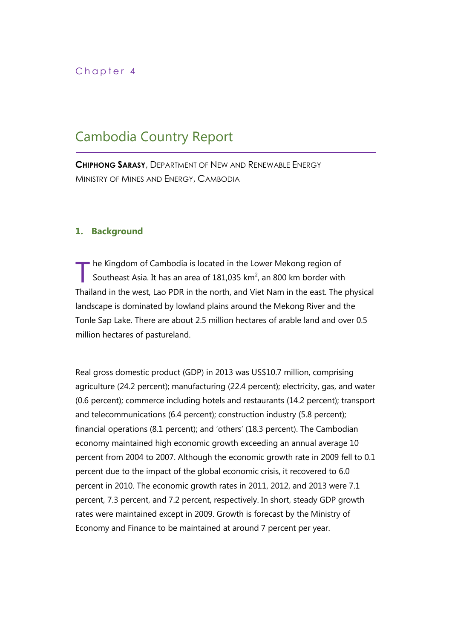## Chapter 4

# Cambodia Country Report

**CHIPHONG SARASY**, DEPARTMENT OF NEW AND RENEWABLE ENERGY MINISTRY OF MINES AND ENERGY, CAMBODIA

### **1. Background**

he Kingdom of Cambodia is located in the Lower Mekong region of Southeast Asia. It has an area of  $181,035$  km<sup>2</sup>, an 800 km border with Thailand in the west, Lao PDR in the north, and Viet Nam in the east. The physical landscape is dominated by lowland plains around the Mekong River and the Tonle Sap Lake. There are about 2.5 million hectares of arable land and over 0.5 million hectares of pastureland. T

Real gross domestic product (GDP) in 2013 was US\$10.7 million, comprising agriculture (24.2 percent); manufacturing (22.4 percent); electricity, gas, and water (0.6 percent); commerce including hotels and restaurants (14.2 percent); transport and telecommunications (6.4 percent); construction industry (5.8 percent); financial operations (8.1 percent); and 'others' (18.3 percent). The Cambodian economy maintained high economic growth exceeding an annual average 10 percent from 2004 to 2007. Although the economic growth rate in 2009 fell to 0.1 percent due to the impact of the global economic crisis, it recovered to 6.0 percent in 2010. The economic growth rates in 2011, 2012, and 2013 were 7.1 percent, 7.3 percent, and 7.2 percent, respectively. In short, steady GDP growth rates were maintained except in 2009. Growth is forecast by the Ministry of Economy and Finance to be maintained at around 7 percent per year.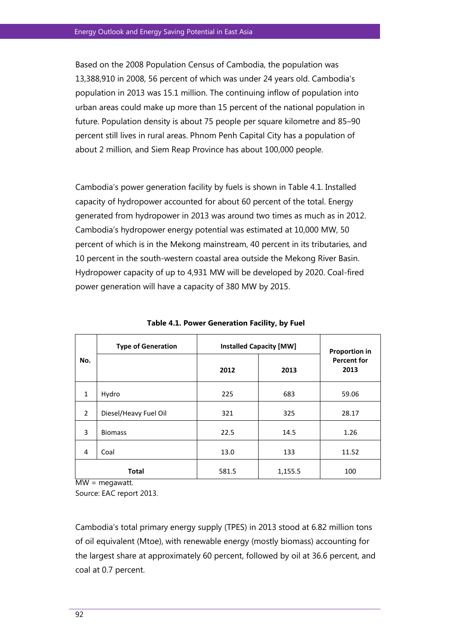Based on the 2008 Population Census of Cambodia, the population was 13,388,910 in 2008, 56 percent of which was under 24 years old. Cambodia's population in 2013 was 15.1 million. The continuing inflow of population into urban areas could make up more than 15 percent of the national population in future. Population density is about 75 people per square kilometre and 85–90 percent still lives in rural areas. Phnom Penh Capital City has a population of about 2 million, and Siem Reap Province has about 100,000 people.

Cambodia's power generation facility by fuels is shown in Table 4.1. Installed capacity of hydropower accounted for about 60 percent of the total. Energy generated from hydropower in 2013 was around two times as much as in 2012. Cambodia's hydropower energy potential was estimated at 10,000 MW, 50 percent of which is in the Mekong mainstream, 40 percent in its tributaries, and 10 percent in the south-western coastal area outside the Mekong River Basin. Hydropower capacity of up to 4,931 MW will be developed by 2020. Coal-fired power generation will have a capacity of 380 MW by 2015.

| No.            | <b>Type of Generation</b> | <b>Installed Capacity [MW]</b> |         | <b>Proportion in</b>       |
|----------------|---------------------------|--------------------------------|---------|----------------------------|
|                |                           | 2012                           | 2013    | <b>Percent for</b><br>2013 |
| $\mathbf{1}$   | Hydro                     | 225                            | 683     | 59.06                      |
| $\overline{2}$ | Diesel/Heavy Fuel Oil     | 321                            | 325     | 28.17                      |
| 3              | <b>Biomass</b>            | 22.5                           | 14.5    | 1.26                       |
| 4              | Coal                      | 13.0                           | 133     | 11.52                      |
| <b>Total</b>   |                           | 581.5                          | 1,155.5 | 100                        |

**Table 4.1. Power Generation Facility, by Fuel** 

MW = megawatt.

Source: EAC report 2013.

Cambodia's total primary energy supply (TPES) in 2013 stood at 6.82 million tons of oil equivalent (Mtoe), with renewable energy (mostly biomass) accounting for the largest share at approximately 60 percent, followed by oil at 36.6 percent, and coal at 0.7 percent.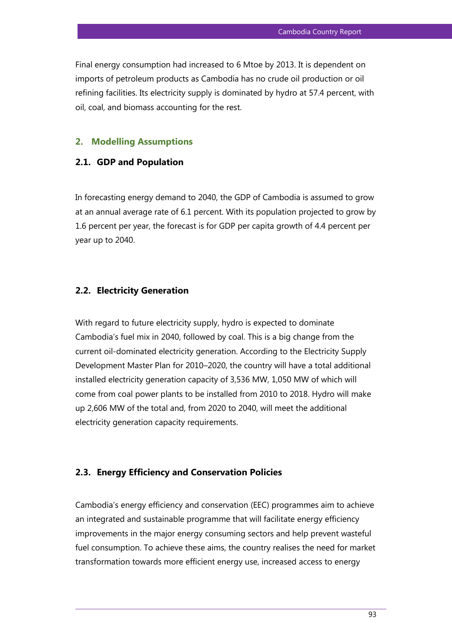Final energy consumption had increased to 6 Mtoe by 2013. It is dependent on imports of petroleum products as Cambodia has no crude oil production or oil refining facilities. Its electricity supply is dominated by hydro at 57.4 percent, with oil, coal, and biomass accounting for the rest.

#### **2. Modelling Assumptions**

### **2.1. GDP and Population**

In forecasting energy demand to 2040, the GDP of Cambodia is assumed to grow at an annual average rate of 6.1 percent. With its population projected to grow by 1.6 percent per year, the forecast is for GDP per capita growth of 4.4 percent per year up to 2040.

#### **2.2. Electricity Generation**

With regard to future electricity supply, hydro is expected to dominate Cambodia's fuel mix in 2040, followed by coal. This is a big change from the current oil-dominated electricity generation. According to the Electricity Supply Development Master Plan for 2010–2020, the country will have a total additional installed electricity generation capacity of 3,536 MW, 1,050 MW of which will come from coal power plants to be installed from 2010 to 2018. Hydro will make up 2,606 MW of the total and, from 2020 to 2040, will meet the additional electricity generation capacity requirements.

#### **2.3. Energy Efficiency and Conservation Policies**

Cambodia's energy efficiency and conservation (EEC) programmes aim to achieve an integrated and sustainable programme that will facilitate energy efficiency improvements in the major energy consuming sectors and help prevent wasteful fuel consumption. To achieve these aims, the country realises the need for market transformation towards more efficient energy use, increased access to energy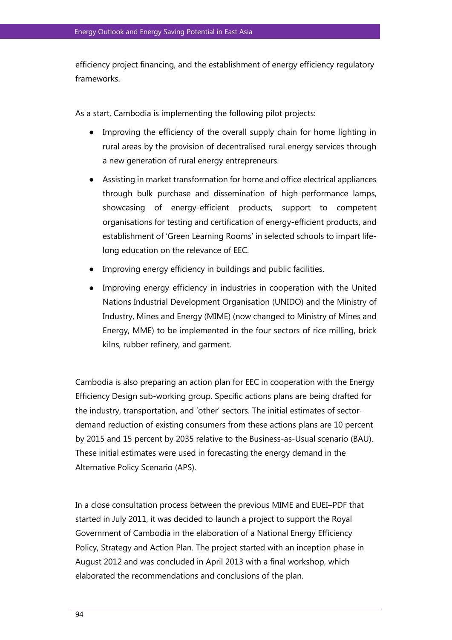efficiency project financing, and the establishment of energy efficiency regulatory frameworks.

As a start, Cambodia is implementing the following pilot projects:

- Improving the efficiency of the overall supply chain for home lighting in rural areas by the provision of decentralised rural energy services through a new generation of rural energy entrepreneurs.
- Assisting in market transformation for home and office electrical appliances through bulk purchase and dissemination of high-performance lamps, showcasing of energy-efficient products, support to competent organisations for testing and certification of energy-efficient products, and establishment of 'Green Learning Rooms' in selected schools to impart lifelong education on the relevance of EEC.
- Improving energy efficiency in buildings and public facilities.
- Improving energy efficiency in industries in cooperation with the United Nations Industrial Development Organisation (UNIDO) and the Ministry of Industry, Mines and Energy (MIME) (now changed to Ministry of Mines and Energy, MME) to be implemented in the four sectors of rice milling, brick kilns, rubber refinery, and garment.

Cambodia is also preparing an action plan for EEC in cooperation with the Energy Efficiency Design sub-working group. Specific actions plans are being drafted for the industry, transportation, and 'other' sectors. The initial estimates of sectordemand reduction of existing consumers from these actions plans are 10 percent by 2015 and 15 percent by 2035 relative to the Business-as-Usual scenario (BAU). These initial estimates were used in forecasting the energy demand in the Alternative Policy Scenario (APS).

In a close consultation process between the previous MIME and EUEI–PDF that started in July 2011, it was decided to launch a project to support the Royal Government of Cambodia in the elaboration of a National Energy Efficiency Policy, Strategy and Action Plan. The project started with an inception phase in August 2012 and was concluded in April 2013 with a final workshop, which elaborated the recommendations and conclusions of the plan.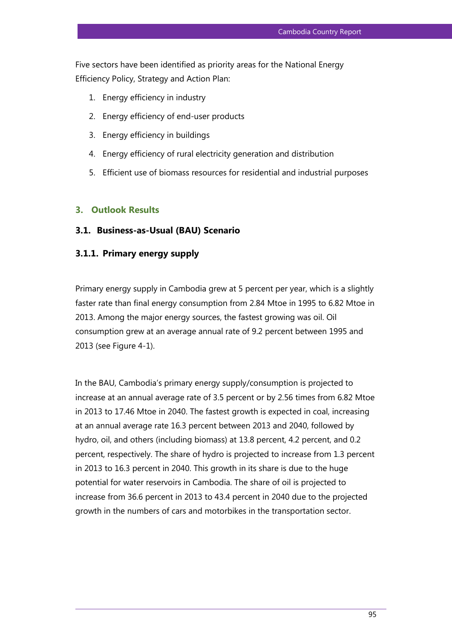Five sectors have been identified as priority areas for the National Energy Efficiency Policy, Strategy and Action Plan:

- 1. Energy efficiency in industry
- 2. Energy efficiency of end-user products
- 3. Energy efficiency in buildings
- 4. Energy efficiency of rural electricity generation and distribution
- 5. Efficient use of biomass resources for residential and industrial purposes

#### **3. Outlook Results**

#### **3.1. Business-as-Usual (BAU) Scenario**

### **3.1.1. Primary energy supply**

Primary energy supply in Cambodia grew at 5 percent per year, which is a slightly faster rate than final energy consumption from 2.84 Mtoe in 1995 to 6.82 Mtoe in 2013. Among the major energy sources, the fastest growing was oil. Oil consumption grew at an average annual rate of 9.2 percent between 1995 and 2013 (see Figure 4-1).

In the BAU, Cambodia's primary energy supply/consumption is projected to increase at an annual average rate of 3.5 percent or by 2.56 times from 6.82 Mtoe in 2013 to 17.46 Mtoe in 2040. The fastest growth is expected in coal, increasing at an annual average rate 16.3 percent between 2013 and 2040, followed by hydro, oil, and others (including biomass) at 13.8 percent, 4.2 percent, and 0.2 percent, respectively. The share of hydro is projected to increase from 1.3 percent in 2013 to 16.3 percent in 2040. This growth in its share is due to the huge potential for water reservoirs in Cambodia. The share of oil is projected to increase from 36.6 percent in 2013 to 43.4 percent in 2040 due to the projected growth in the numbers of cars and motorbikes in the transportation sector.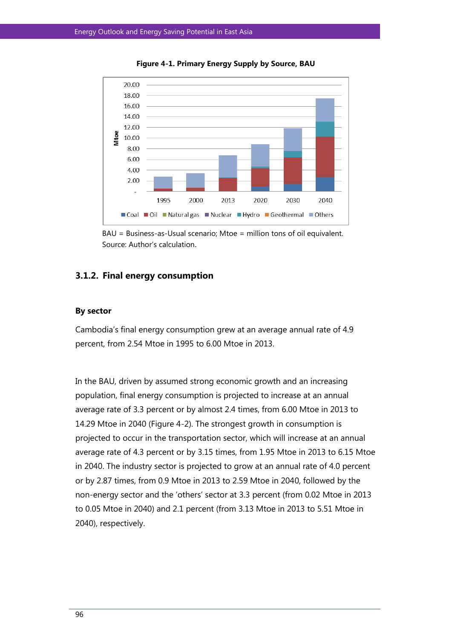

**Figure 4-1. Primary Energy Supply by Source, BAU** 



#### **3.1.2. Final energy consumption**

#### **By sector**

Cambodia's final energy consumption grew at an average annual rate of 4.9 percent, from 2.54 Mtoe in 1995 to 6.00 Mtoe in 2013.

In the BAU, driven by assumed strong economic growth and an increasing population, final energy consumption is projected to increase at an annual average rate of 3.3 percent or by almost 2.4 times, from 6.00 Mtoe in 2013 to 14.29 Mtoe in 2040 (Figure 4-2). The strongest growth in consumption is projected to occur in the transportation sector, which will increase at an annual average rate of 4.3 percent or by 3.15 times, from 1.95 Mtoe in 2013 to 6.15 Mtoe in 2040. The industry sector is projected to grow at an annual rate of 4.0 percent or by 2.87 times, from 0.9 Mtoe in 2013 to 2.59 Mtoe in 2040, followed by the non-energy sector and the 'others' sector at 3.3 percent (from 0.02 Mtoe in 2013 to 0.05 Mtoe in 2040) and 2.1 percent (from 3.13 Mtoe in 2013 to 5.51 Mtoe in 2040), respectively.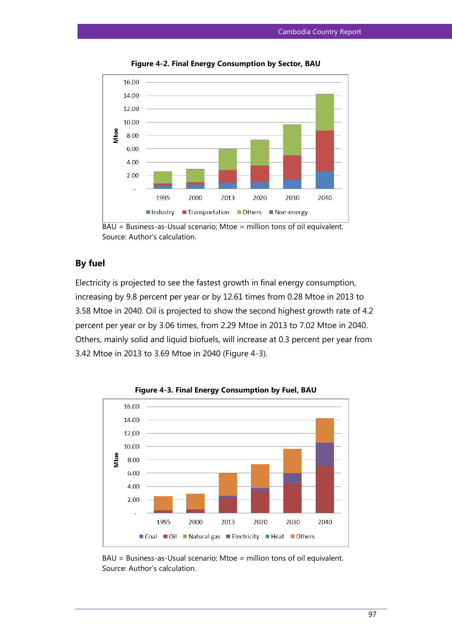

**Figure 4-2. Final Energy Consumption by Sector, BAU** 

## **By fuel**

Electricity is projected to see the fastest growth in final energy consumption, increasing by 9.8 percent per year or by 12.61 times from 0.28 Mtoe in 2013 to 3.58 Mtoe in 2040. Oil is projected to show the second highest growth rate of 4.2 percent per year or by 3.06 times, from 2.29 Mtoe in 2013 to 7.02 Mtoe in 2040. Others, mainly solid and liquid biofuels, will increase at 0.3 percent per year from 3.42 Mtoe in 2013 to 3.69 Mtoe in 2040 (Figure 4-3).



**Figure 4-3. Final Energy Consumption by Fuel, BAU**

BAU = Business-as-Usual scenario; Mtoe = million tons of oil equivalent. Source: Author's calculation.

 $BAU = Business-Usual scenario; Mtoe = million tons of oil equivalent.$ Source: Author's calculation.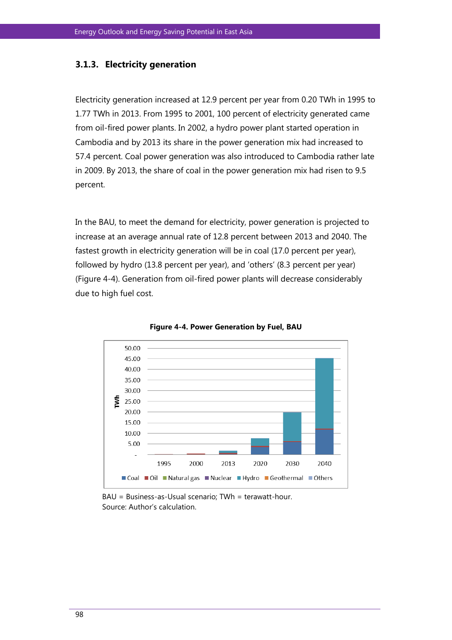#### **3.1.3. Electricity generation**

Electricity generation increased at 12.9 percent per year from 0.20 TWh in 1995 to 1.77 TWh in 2013. From 1995 to 2001, 100 percent of electricity generated came from oil-fired power plants. In 2002, a hydro power plant started operation in Cambodia and by 2013 its share in the power generation mix had increased to 57.4 percent. Coal power generation was also introduced to Cambodia rather late in 2009. By 2013, the share of coal in the power generation mix had risen to 9.5 percent.

In the BAU, to meet the demand for electricity, power generation is projected to increase at an average annual rate of 12.8 percent between 2013 and 2040. The fastest growth in electricity generation will be in coal (17.0 percent per year), followed by hydro (13.8 percent per year), and 'others' (8.3 percent per year) (Figure 4-4). Generation from oil-fired power plants will decrease considerably due to high fuel cost.





BAU = Business-as-Usual scenario; TWh = terawatt-hour. Source: Author's calculation.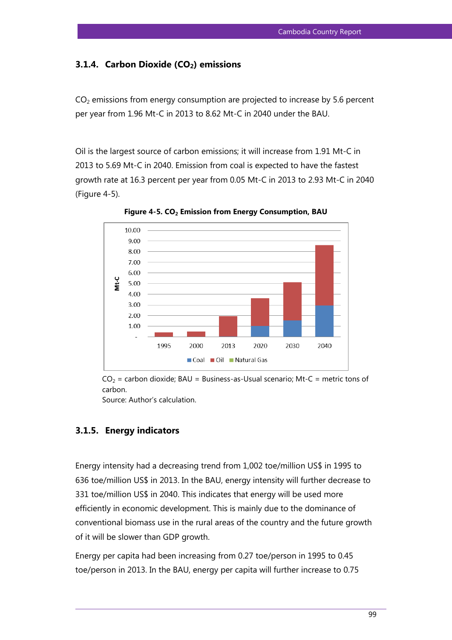## **3.1.4. Carbon Dioxide (CO2) emissions**

 $CO<sub>2</sub>$  emissions from energy consumption are projected to increase by 5.6 percent per year from 1.96 Mt-C in 2013 to 8.62 Mt-C in 2040 under the BAU.

Oil is the largest source of carbon emissions; it will increase from 1.91 Mt-C in 2013 to 5.69 Mt-C in 2040. Emission from coal is expected to have the fastest growth rate at 16.3 percent per year from 0.05 Mt-C in 2013 to 2.93 Mt-C in 2040 (Figure 4-5).



**Figure 4-5. CO2 Emission from Energy Consumption, BAU** 

 $CO<sub>2</sub>$  = carbon dioxide; BAU = Business-as-Usual scenario; Mt-C = metric tons of carbon.

Source: Author's calculation.

## **3.1.5. Energy indicators**

Energy intensity had a decreasing trend from 1,002 toe/million US\$ in 1995 to 636 toe/million US\$ in 2013. In the BAU, energy intensity will further decrease to 331 toe/million US\$ in 2040. This indicates that energy will be used more efficiently in economic development. This is mainly due to the dominance of conventional biomass use in the rural areas of the country and the future growth of it will be slower than GDP growth.

Energy per capita had been increasing from 0.27 toe/person in 1995 to 0.45 toe/person in 2013. In the BAU, energy per capita will further increase to 0.75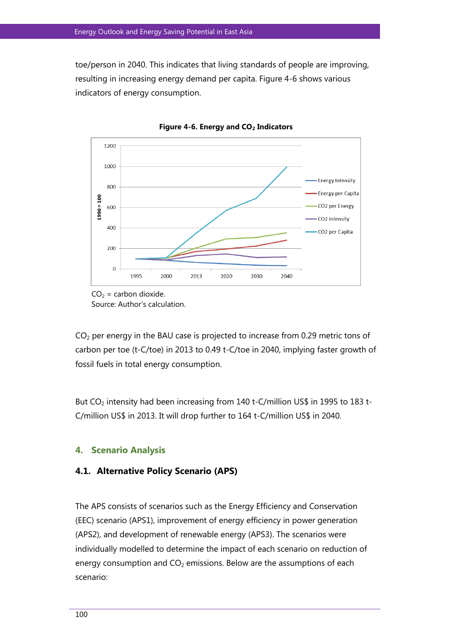toe/person in 2040. This indicates that living standards of people are improving, resulting in increasing energy demand per capita. Figure 4-6 shows various indicators of energy consumption.





 $CO<sub>2</sub>$  per energy in the BAU case is projected to increase from 0.29 metric tons of carbon per toe (t-C/toe) in 2013 to 0.49 t-C/toe in 2040, implying faster growth of fossil fuels in total energy consumption.

But CO<sub>2</sub> intensity had been increasing from 140 t-C/million US\$ in 1995 to 183 t-C/million US\$ in 2013. It will drop further to 164 t-C/million US\$ in 2040.

#### **4. Scenario Analysis**

#### **4.1. Alternative Policy Scenario (APS)**

The APS consists of scenarios such as the Energy Efficiency and Conservation (EEC) scenario (APS1), improvement of energy efficiency in power generation (APS2), and development of renewable energy (APS3). The scenarios were individually modelled to determine the impact of each scenario on reduction of energy consumption and  $CO<sub>2</sub>$  emissions. Below are the assumptions of each scenario:

 $CO<sub>2</sub> =$  carbon dioxide. Source: Author's calculation.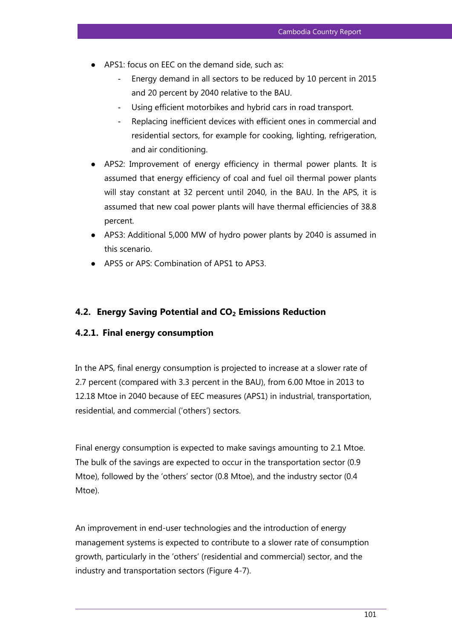- APS1: focus on EEC on the demand side, such as:
	- Energy demand in all sectors to be reduced by 10 percent in 2015 and 20 percent by 2040 relative to the BAU.
	- Using efficient motorbikes and hybrid cars in road transport.
	- Replacing inefficient devices with efficient ones in commercial and residential sectors, for example for cooking, lighting, refrigeration, and air conditioning.
- APS2: Improvement of energy efficiency in thermal power plants. It is assumed that energy efficiency of coal and fuel oil thermal power plants will stay constant at 32 percent until 2040, in the BAU. In the APS, it is assumed that new coal power plants will have thermal efficiencies of 38.8 percent.
- APS3: Additional 5,000 MW of hydro power plants by 2040 is assumed in this scenario.
- APS5 or APS: Combination of APS1 to APS3.

## **4.2. Energy Saving Potential and CO2 Emissions Reduction**

## **4.2.1. Final energy consumption**

In the APS, final energy consumption is projected to increase at a slower rate of 2.7 percent (compared with 3.3 percent in the BAU), from 6.00 Mtoe in 2013 to 12.18 Mtoe in 2040 because of EEC measures (APS1) in industrial, transportation, residential, and commercial ('others') sectors.

Final energy consumption is expected to make savings amounting to 2.1 Mtoe. The bulk of the savings are expected to occur in the transportation sector (0.9 Mtoe), followed by the 'others' sector (0.8 Mtoe), and the industry sector (0.4 Mtoe).

An improvement in end-user technologies and the introduction of energy management systems is expected to contribute to a slower rate of consumption growth, particularly in the 'others' (residential and commercial) sector, and the industry and transportation sectors (Figure 4-7).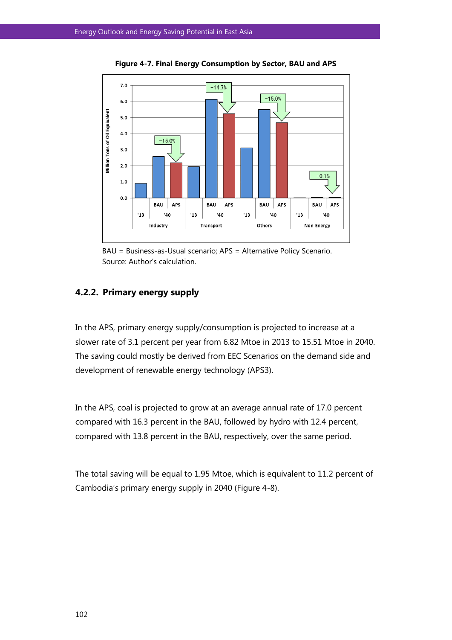

**Figure 4-7. Final Energy Consumption by Sector, BAU and APS** 

BAU = Business-as-Usual scenario; APS = Alternative Policy Scenario. Source: Author's calculation.

## **4.2.2. Primary energy supply**

In the APS, primary energy supply/consumption is projected to increase at a slower rate of 3.1 percent per year from 6.82 Mtoe in 2013 to 15.51 Mtoe in 2040. The saving could mostly be derived from EEC Scenarios on the demand side and development of renewable energy technology (APS3).

In the APS, coal is projected to grow at an average annual rate of 17.0 percent compared with 16.3 percent in the BAU, followed by hydro with 12.4 percent, compared with 13.8 percent in the BAU, respectively, over the same period.

The total saving will be equal to 1.95 Mtoe, which is equivalent to 11.2 percent of Cambodia's primary energy supply in 2040 (Figure 4-8).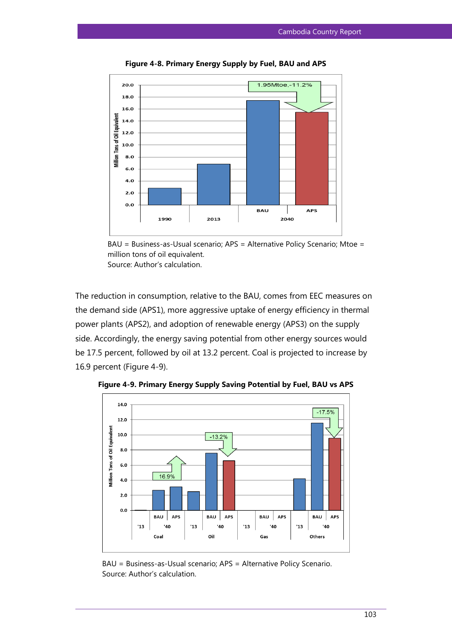

**Figure 4-8. Primary Energy Supply by Fuel, BAU and APS** 



The reduction in consumption, relative to the BAU, comes from EEC measures on the demand side (APS1), more aggressive uptake of energy efficiency in thermal power plants (APS2), and adoption of renewable energy (APS3) on the supply side. Accordingly, the energy saving potential from other energy sources would be 17.5 percent, followed by oil at 13.2 percent. Coal is projected to increase by 16.9 percent (Figure 4-9).



**Figure 4-9. Primary Energy Supply Saving Potential by Fuel, BAU vs APS**

BAU = Business-as-Usual scenario; APS = Alternative Policy Scenario. Source: Author's calculation.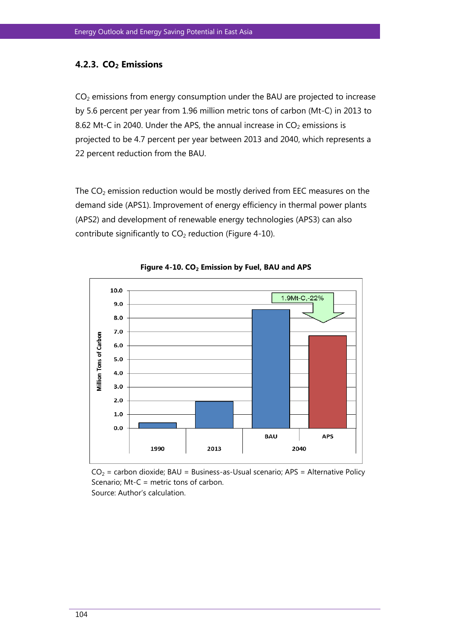### **4.2.3. CO2 Emissions**

 $CO<sub>2</sub>$  emissions from energy consumption under the BAU are projected to increase by 5.6 percent per year from 1.96 million metric tons of carbon (Mt-C) in 2013 to 8.62 Mt-C in 2040. Under the APS, the annual increase in  $CO<sub>2</sub>$  emissions is projected to be 4.7 percent per year between 2013 and 2040, which represents a 22 percent reduction from the BAU.

The  $CO<sub>2</sub>$  emission reduction would be mostly derived from EEC measures on the demand side (APS1). Improvement of energy efficiency in thermal power plants (APS2) and development of renewable energy technologies (APS3) can also contribute significantly to  $CO<sub>2</sub>$  reduction (Figure 4-10).



**Figure 4-10. CO2 Emission by Fuel, BAU and APS**

 $CO<sub>2</sub>$  = carbon dioxide; BAU = Business-as-Usual scenario; APS = Alternative Policy Scenario; Mt-C = metric tons of carbon. Source: Author's calculation.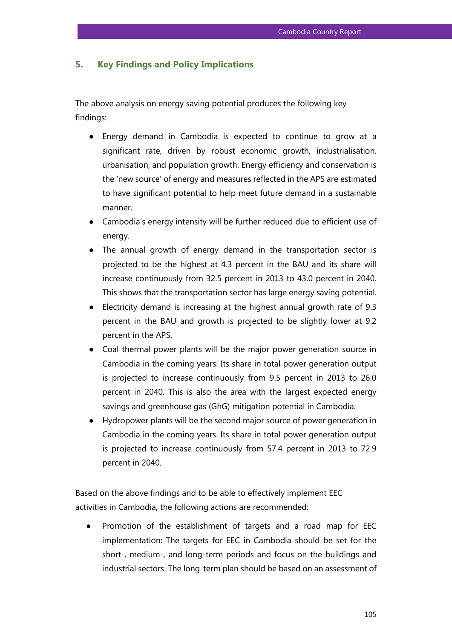### **5. Key Findings and Policy Implications**

The above analysis on energy saving potential produces the following key findings:

- Energy demand in Cambodia is expected to continue to grow at a significant rate, driven by robust economic growth, industrialisation, urbanisation, and population growth. Energy efficiency and conservation is the 'new source' of energy and measures reflected in the APS are estimated to have significant potential to help meet future demand in a sustainable manner.
- Cambodia's energy intensity will be further reduced due to efficient use of energy.
- The annual growth of energy demand in the transportation sector is projected to be the highest at 4.3 percent in the BAU and its share will increase continuously from 32.5 percent in 2013 to 43.0 percent in 2040. This shows that the transportation sector has large energy saving potential.
- Electricity demand is increasing at the highest annual growth rate of 9.3 percent in the BAU and growth is projected to be slightly lower at 9.2 percent in the APS.
- Coal thermal power plants will be the major power generation source in Cambodia in the coming years. Its share in total power generation output is projected to increase continuously from 9.5 percent in 2013 to 26.0 percent in 2040. This is also the area with the largest expected energy savings and greenhouse gas (GhG) mitigation potential in Cambodia.
- Hydropower plants will be the second major source of power generation in Cambodia in the coming years. Its share in total power generation output is projected to increase continuously from 57.4 percent in 2013 to 72.9 percent in 2040.

Based on the above findings and to be able to effectively implement EEC activities in Cambodia, the following actions are recommended:

Promotion of the establishment of targets and a road map for EEC implementation: The targets for EEC in Cambodia should be set for the short-, medium-, and long-term periods and focus on the buildings and industrial sectors. The long-term plan should be based on an assessment of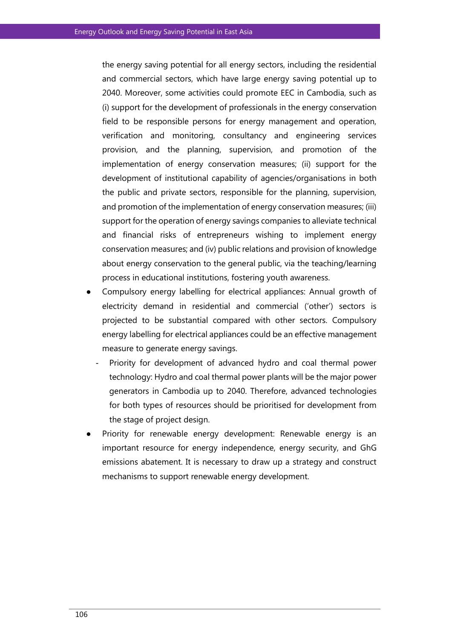the energy saving potential for all energy sectors, including the residential and commercial sectors, which have large energy saving potential up to 2040. Moreover, some activities could promote EEC in Cambodia, such as (i) support for the development of professionals in the energy conservation field to be responsible persons for energy management and operation, verification and monitoring, consultancy and engineering services provision, and the planning, supervision, and promotion of the implementation of energy conservation measures; (ii) support for the development of institutional capability of agencies/organisations in both the public and private sectors, responsible for the planning, supervision, and promotion of the implementation of energy conservation measures; (iii) support for the operation of energy savings companies to alleviate technical and financial risks of entrepreneurs wishing to implement energy conservation measures; and (iv) public relations and provision of knowledge about energy conservation to the general public, via the teaching/learning process in educational institutions, fostering youth awareness.

- Compulsory energy labelling for electrical appliances: Annual growth of electricity demand in residential and commercial ('other') sectors is projected to be substantial compared with other sectors. Compulsory energy labelling for electrical appliances could be an effective management measure to generate energy savings.
	- Priority for development of advanced hydro and coal thermal power technology: Hydro and coal thermal power plants will be the major power generators in Cambodia up to 2040. Therefore, advanced technologies for both types of resources should be prioritised for development from the stage of project design.
- Priority for renewable energy development: Renewable energy is an important resource for energy independence, energy security, and GhG emissions abatement. It is necessary to draw up a strategy and construct mechanisms to support renewable energy development.